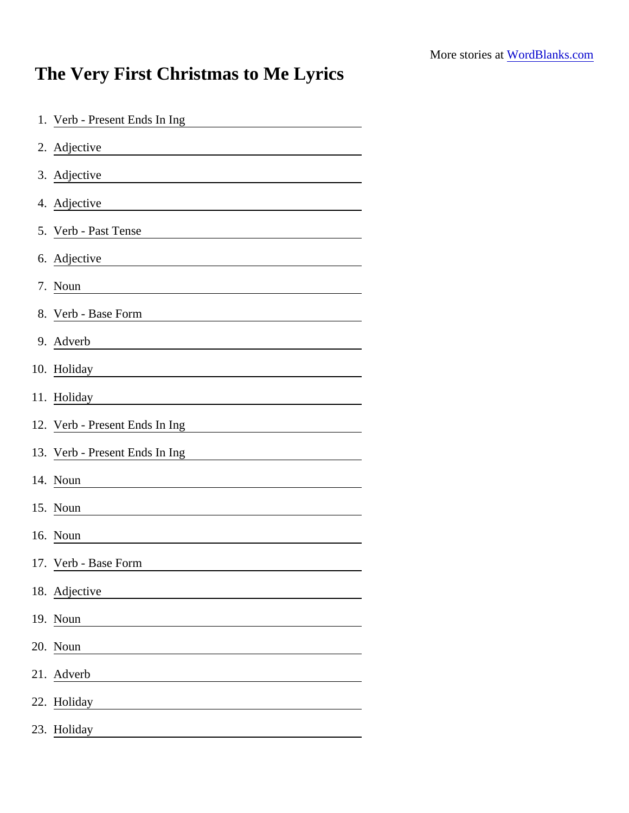## The Very First Christmas to Me Lyrics

| 1. Verb - Present Ends In Ing                                                                                                        |
|--------------------------------------------------------------------------------------------------------------------------------------|
| 2. Adjective<br><u> 1980 - Johann Stein, fransk politik (d. 1980)</u>                                                                |
| 3. Adjective                                                                                                                         |
| 4. Adjective<br><u> 1980 - Jan Stein Stein Stein Stein Stein Stein Stein Stein Stein Stein Stein Stein Stein Stein Stein Stein S</u> |
| 5. Verb - Past Tense                                                                                                                 |
| 6. Adjective<br><u> 1980 - Johann Barn, mars an t-Amerikaansk kommunister (</u>                                                      |
| 7. Noun                                                                                                                              |
| 8. Verb - Base Form                                                                                                                  |
| 9. Adverb<br><u> 1980 - Andrea Andrew Maria (h. 1980).</u>                                                                           |
| 10. Holiday                                                                                                                          |
| 11. Holiday                                                                                                                          |
| 12. Verb - Present Ends In Ing                                                                                                       |
| 13. Verb - Present Ends In Ing                                                                                                       |
| 14. Noun                                                                                                                             |
| 15. Noun                                                                                                                             |
| 16. Noun                                                                                                                             |
| 17. Verb - Base Form                                                                                                                 |
| 18. Adjective                                                                                                                        |
| 19. Noun                                                                                                                             |
| 20. Noun                                                                                                                             |
| 21. Adverb                                                                                                                           |
| 22. Holiday                                                                                                                          |
| 23. Holiday                                                                                                                          |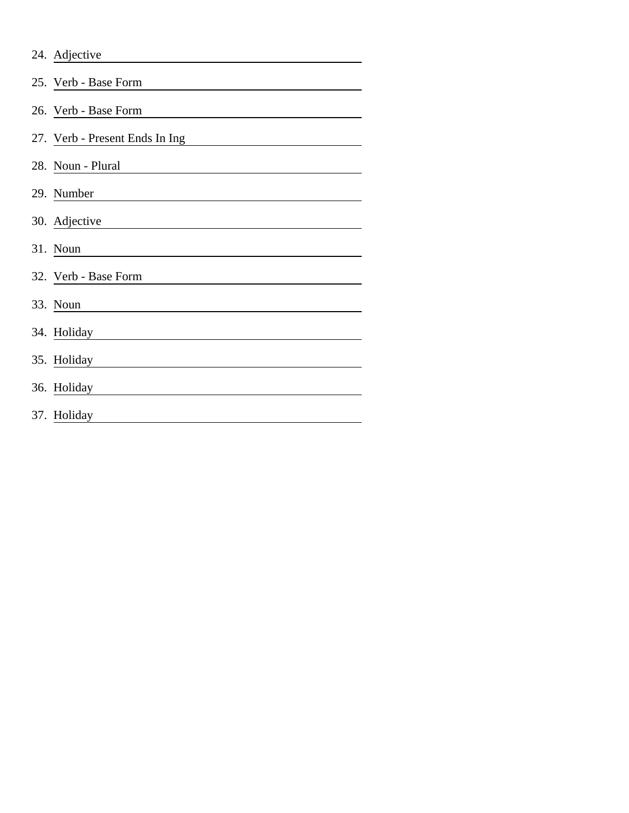| 24. Adjective                  |
|--------------------------------|
| 25. Verb - Base Form           |
| 26. Verb - Base Form           |
| 27. Verb - Present Ends In Ing |
| 28. Noun - Plural              |
| 29. Number                     |
| 30. Adjective                  |
| 31. Noun                       |
| 32. Verb - Base Form           |
| 33. Noun                       |
| 34. Holiday                    |
| 35. Holiday                    |
| 36. Holiday                    |
| 37. Holiday                    |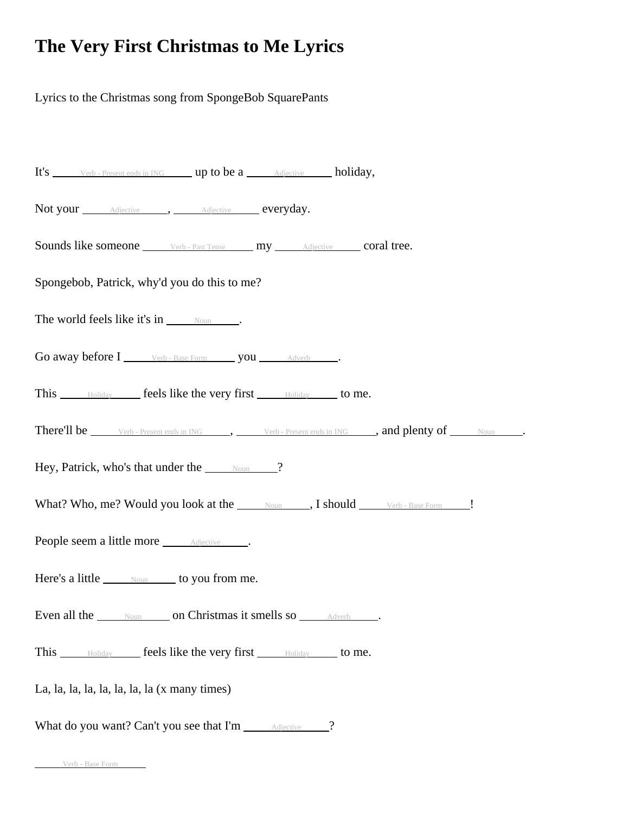## **The Very First Christmas to Me Lyrics**

Lyrics to the Christmas song from SpongeBob SquarePants

| It's <u>verb-Present ends in ING</u> up to be a <u>Adjective holiday</u> ,                        |  |  |  |  |  |  |  |  |
|---------------------------------------------------------------------------------------------------|--|--|--|--|--|--|--|--|
| Not your <i>Adjective</i> , Adjective everyday.                                                   |  |  |  |  |  |  |  |  |
| <b>Sounds like someone</b> ______ Verb - Past Tense ______ my _______ Adjective _____ coral tree. |  |  |  |  |  |  |  |  |
| Spongebob, Patrick, why'd you do this to me?                                                      |  |  |  |  |  |  |  |  |
| The world feels like it's in $\frac{N_{\text{Oun}}}{N_{\text{Oun}}}$ .                            |  |  |  |  |  |  |  |  |
| Go away before I verb - Base Form you __ Adverb                                                   |  |  |  |  |  |  |  |  |
| This Moliday feels like the very first Moliday to me.                                             |  |  |  |  |  |  |  |  |
| There'll be <u>verb-Present ends in ING</u> , verb-Present ends in ING , and plenty of Noun .     |  |  |  |  |  |  |  |  |
| Hey, Patrick, who's that under the <u>soun</u> 2                                                  |  |  |  |  |  |  |  |  |
| What? Who, me? Would you look at the Moun J, I should Verb - Base Form J!                         |  |  |  |  |  |  |  |  |
| People seem a little more <i>Adjective</i>                                                        |  |  |  |  |  |  |  |  |
| Here's a little Mound to you from me.                                                             |  |  |  |  |  |  |  |  |
| Even all the Noun on Christmas it smells so Adverb                                                |  |  |  |  |  |  |  |  |
| This <b>Example 20</b> Final Like the very first <b>Example 20</b> to me.                         |  |  |  |  |  |  |  |  |
| La, la, la, la, la, la, la, la (x many times)                                                     |  |  |  |  |  |  |  |  |
| What do you want? Can't you see that I'm _____ Adjective _____?                                   |  |  |  |  |  |  |  |  |

Verb - Base Form